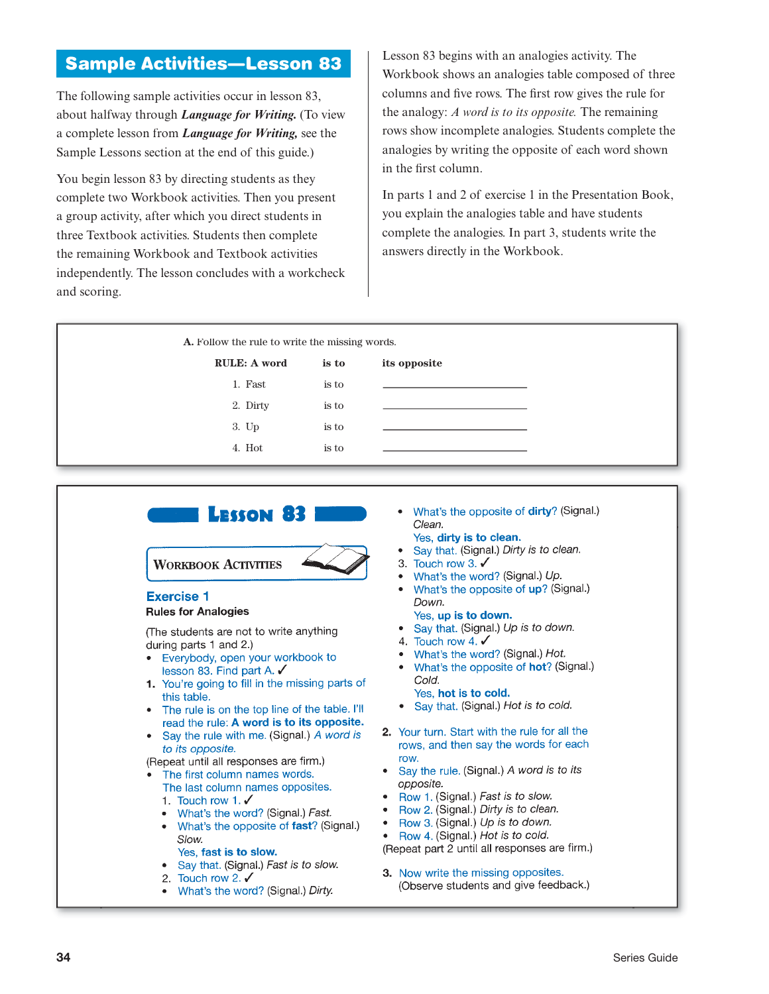# **Sample Activities—Lesson 83**

The following sample activities occur in lesson 83, about halfway through *Language for Writing.* (To view a complete lesson from *Language for Writing,* see the Sample Lessons section at the end of this guide.)

You begin lesson 83 by directing students as they complete two Workbook activities. Then you present a group activity, after which you direct students in three Textbook activities. Students then complete the remaining Workbook and Textbook activities independently. The lesson concludes with a workcheck and scoring.

Lesson 83 begins with an analogies activity. The Workbook shows an analogies table composed of three columns and five rows. The first row gives the rule for the analogy: *A word is to its opposite.* The remaining rows show incomplete analogies. Students complete the analogies by writing the opposite of each word shown in the first column.

In parts 1 and 2 of exercise 1 in the Presentation Book, you explain the analogies table and have students complete the analogies. In part 3, students write the answers directly in the Workbook.

|                     | A. Follow the rule to write the missing words. |              |  |  |
|---------------------|------------------------------------------------|--------------|--|--|
| <b>RULE: A word</b> | is to                                          | its opposite |  |  |
| 1. Fast             | is to                                          |              |  |  |
| 2. Dirty            | is to                                          |              |  |  |
| 3. Up               | is to                                          |              |  |  |
| 4. Hot              | is to                                          |              |  |  |

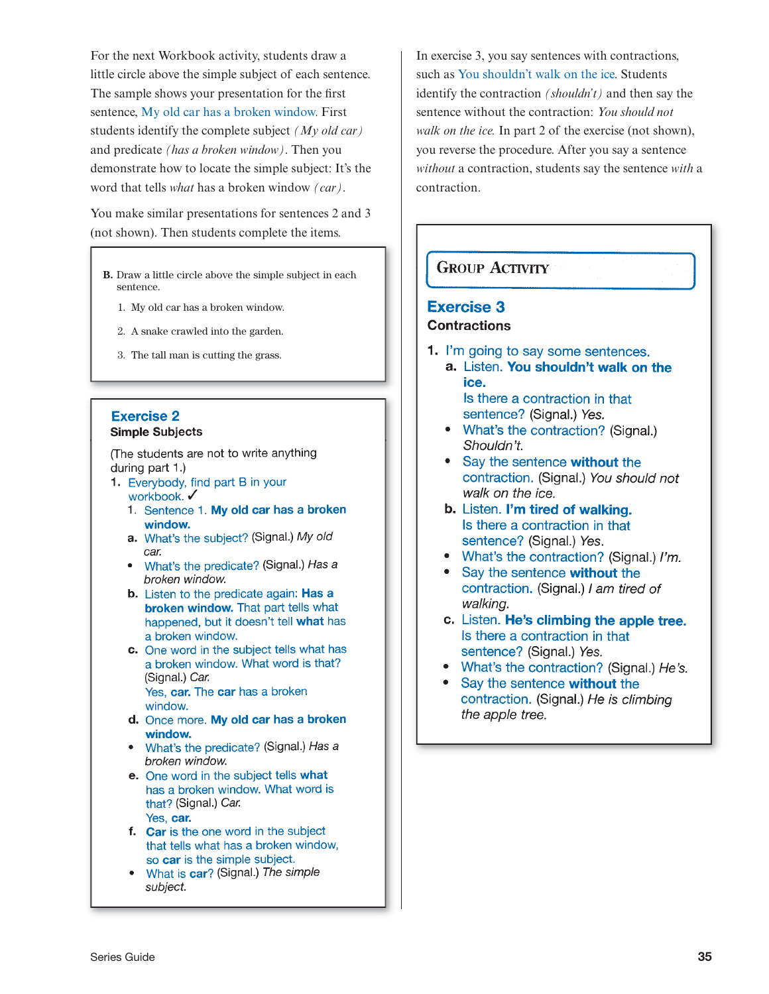For the next Workbook activity, students draw a little circle above the simple subject of each sentence. The sample shows your presentation for the first sentence, My old car has a broken window. First students identify the complete subject *(My old car)* and predicate *(has a broken window)*. Then you demonstrate how to locate the simple subject: It's the word that tells *what* has a broken window *(car)*.

You make similar presentations for sentences 2 and 3 (not shown). Then students complete the items.

- **B.** Draw a little circle above the simple subject in each sentence.
	- 1. My old car has a broken window.
	- 2. A snake crawled into the garden.
	- 3. The tall man is cutting the grass.

#### **Exercise 2 Simple Subjects**

(The students are not to write anything during part 1.)

- 1. Everybody, find part B in your workbook. ✔
	- 1. Sentence 1. My old car has a broken window.
	- a. What's the subject? (Signal.) My old car.
	- What's the predicate? (Signal.) Has a broken window.
	- b. Listen to the predicate again: Has a broken window. That part tells what happened, but it doesn't tell what has a broken window.
	- c. One word in the subject tells what has a broken window. What word is that? (Signal.) Car. Yes, car. The car has a broken window.
	- d. Once more. My old car has a broken window.
	- What's the predicate? (Signal.) Has a broken window.
	- e. One word in the subject tells what has a broken window. What word is that? (Signal.) Car. Yes. car.
	- f. Car is the one word in the subject that tells what has a broken window, so car is the simple subject.
	- What is car? (Signal.) The simple subject.

In exercise 3, you say sentences with contractions, such as You shouldn't walk on the ice. Students identify the contraction *(shouldn't)* and then say the sentence without the contraction: *You should not walk on the ice.* In part 2 of the exercise (not shown), you reverse the procedure. After you say a sentence *without* a contraction, students say the sentence *with* a contraction.

# **GROUP ACTIVITY**

# **Exercise 3**

### **Contractions**

1. I'm going to say some sentences. a. Listen. You shouldn't walk on the ice.

Is there a contraction in that sentence? (Signal.) Yes.

- What's the contraction? (Signal.) Shouldn't.
- Say the sentence without the contraction. (Signal.) You should not walk on the ice.
- b. Listen. I'm tired of walking. Is there a contraction in that sentence? (Signal.) Yes.
- What's the contraction? (Signal.) I'm.
- Say the sentence without the contraction. (Signal.) I am tired of walking.
- c. Listen. He's climbing the apple tree. Is there a contraction in that sentence? (Signal.) Yes.
- What's the contraction? (Signal.) He's.
- Say the sentence without the contraction. (Signal.) He is climbing the apple tree.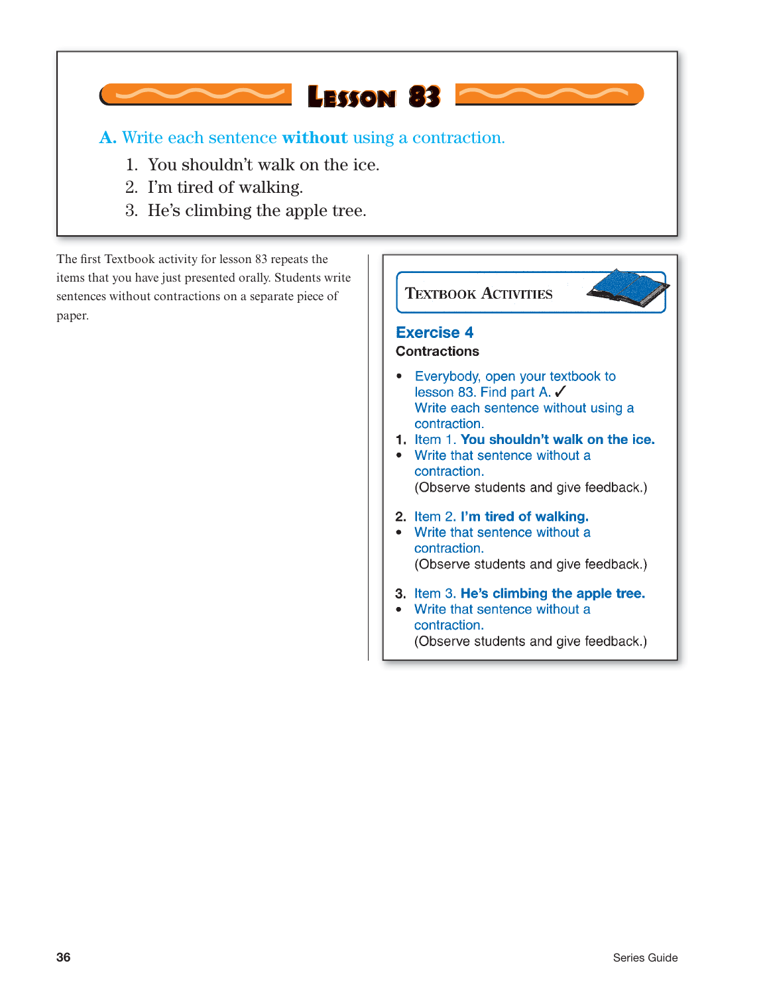**A.** Write each sentence **without** using a contraction.

**LESSON 83** 

- 1. You shouldn't walk on the ice.
- 2. I'm tired of walking.
- 3. He's climbing the apple tree.

The first Textbook activity for lesson 83 repeats the items that you have just presented orally. Students write sentences without contractions on a separate piece of paper.

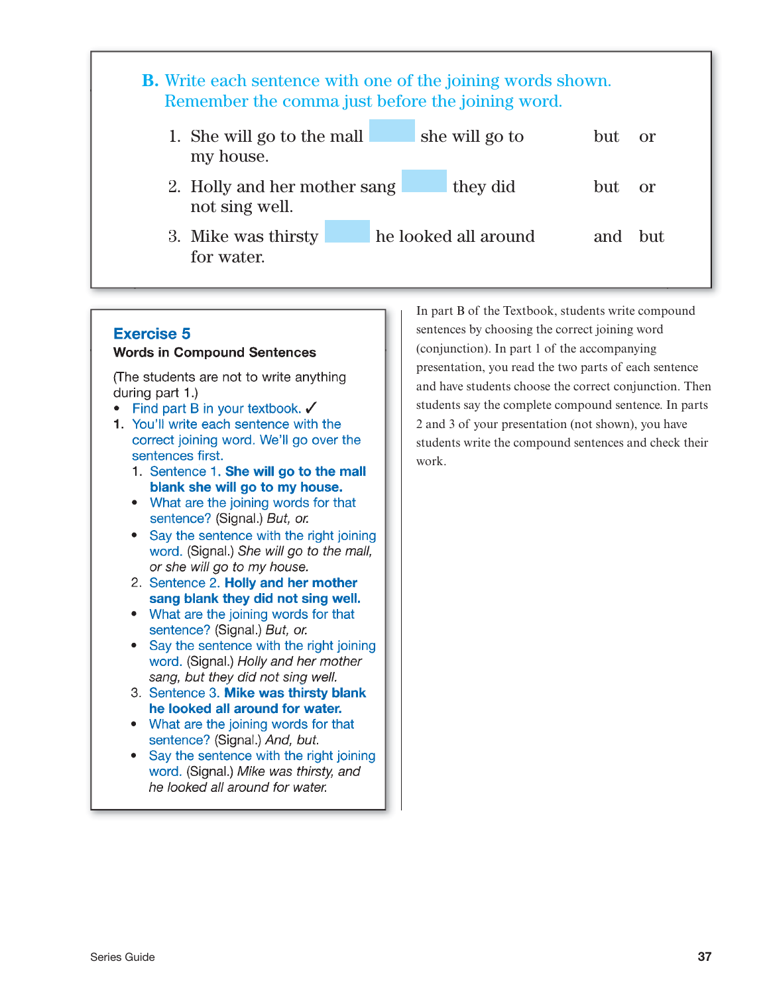| <b>B.</b> Write each sentence with one of the joining words shown.<br>Remember the comma just before the joining word. |                      |         |           |
|------------------------------------------------------------------------------------------------------------------------|----------------------|---------|-----------|
| 1. She will go to the mall<br>my house.                                                                                | she will go to       | but     | <b>or</b> |
| 2. Holly and her mother sang<br>not sing well.                                                                         | they did             | but     | $\alpha$  |
| 3. Mike was thirsty<br>for water.                                                                                      | he looked all around | and but |           |

### **Exercise 5**

#### **Words in Compound Sentences**

(The students are not to write anything) during part 1.)

- Find part B in your textbook.  $\checkmark$
- 1. You'll write each sentence with the correct joining word. We'll go over the sentences first.
	- 1. Sentence 1. She will go to the mall blank she will go to my house.
	- What are the joining words for that sentence? (Signal.) But, or.
	- Say the sentence with the right joining word. (Signal.) She will go to the mall, or she will go to my house.
	- 2. Sentence 2. Holly and her mother sang blank they did not sing well.
	- What are the joining words for that sentence? (Signal.) But, or.
	- Say the sentence with the right joining word. (Signal.) Holly and her mother sang, but they did not sing well.
	- 3. Sentence 3. Mike was thirsty blank he looked all around for water.
	- What are the joining words for that sentence? (Signal.) And, but.
	- Say the sentence with the right joining word. (Signal.) Mike was thirsty, and he looked all around for water.

In part B of the Textbook, students write compound sentences by choosing the correct joining word (conjunction). In part 1 of the accompanying presentation, you read the two parts of each sentence and have students choose the correct conjunction. Then students say the complete compound sentence. In parts 2 and 3 of your presentation (not shown), you have students write the compound sentences and check their work.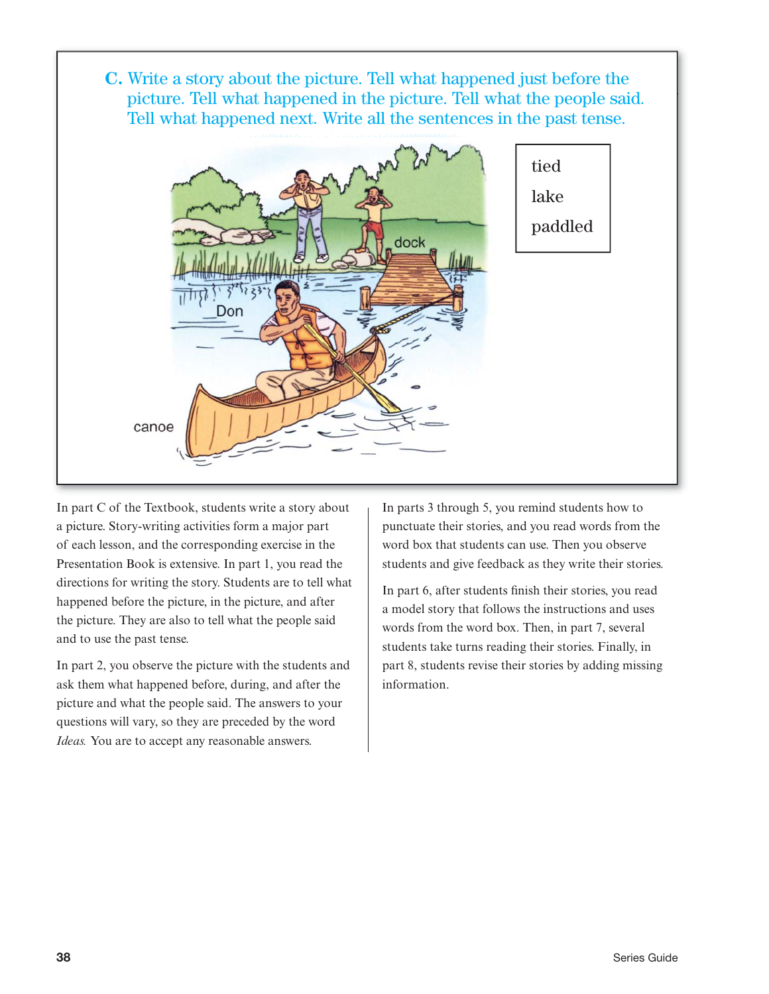**C.** Write a story about the picture. Tell what happened just before the picture. Tell what happened in the picture. Tell what the people said. Tell what happened next. Write all the sentences in the past tense.



In part C of the Textbook, students write a story about a picture. Story-writing activities form a major part of each lesson, and the corresponding exercise in the Presentation Book is extensive. In part 1, you read the directions for writing the story. Students are to tell what happened before the picture, in the picture, and after the picture. They are also to tell what the people said and to use the past tense.

In part 2, you observe the picture with the students and ask them what happened before, during, and after the picture and what the people said. The answers to your questions will vary, so they are preceded by the word *Ideas.* You are to accept any reasonable answers.

In parts 3 through 5, you remind students how to punctuate their stories, and you read words from the word box that students can use. Then you observe students and give feedback as they write their stories.

In part 6, after students finish their stories, you read a model story that follows the instructions and uses words from the word box. Then, in part 7, several students take turns reading their stories. Finally, in part 8, students revise their stories by adding missing information.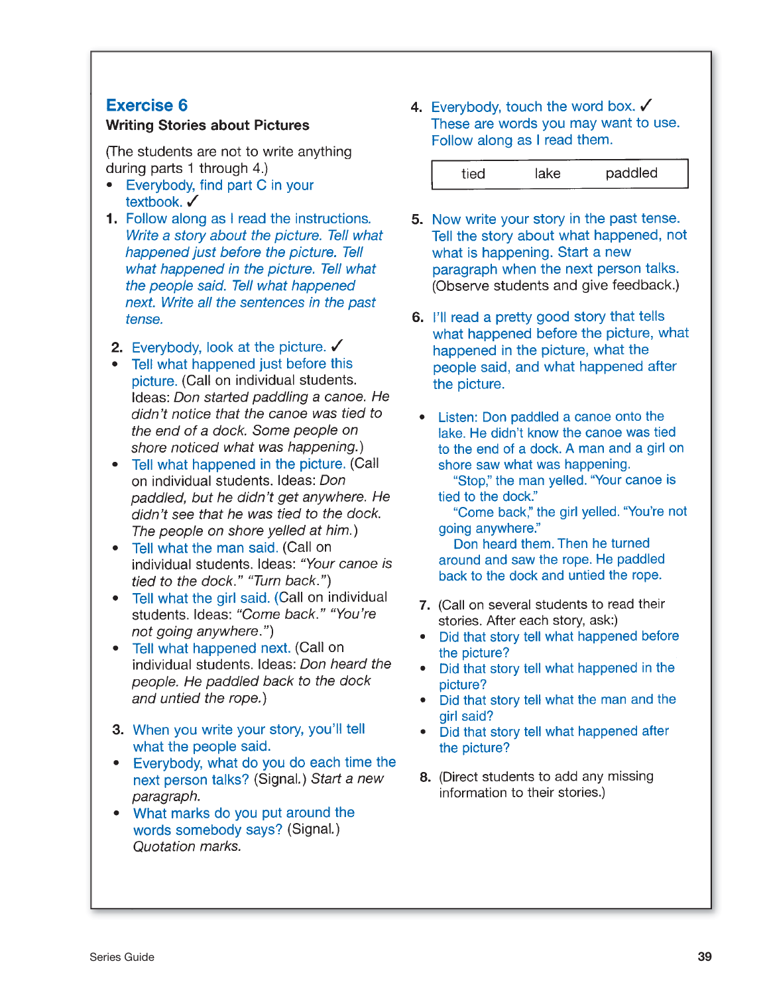## **Exercise 6**

#### **Writing Stories about Pictures**

(The students are not to write anything) during parts 1 through 4.)

- Everybody, find part C in your textbook. ✔
- 1. Follow along as I read the instructions. Write a story about the picture. Tell what happened just before the picture. Tell what happened in the picture. Tell what the people said. Tell what happened next. Write all the sentences in the past tense.
- 2. Everybody, look at the picture.  $\checkmark$
- Tell what happened just before this picture. (Call on individual students. Ideas: Don started paddling a canoe. He didn't notice that the canoe was tied to the end of a dock. Some people on shore noticed what was happening.)
- Tell what happened in the picture. (Call on individual students. Ideas: Don paddled, but he didn't get anywhere. He didn't see that he was tied to the dock. The people on shore yelled at him.)
- Tell what the man said. (Call on individual students. Ideas: "Your canoe is tied to the dock." "Turn back.")
- Tell what the girl said. (Call on individual students. Ideas: "Come back." "You're not going anywhere.")
- Tell what happened next. (Call on individual students. Ideas: Don heard the people. He paddled back to the dock and untied the rope.)
- 3. When you write your story, you'll tell what the people said.
- Everybody, what do you do each time the next person talks? (Signal.) Start a new paragraph.
- What marks do you put around the words somebody says? (Signal.) Quotation marks.

4. Everybody, touch the word box.  $\checkmark$ These are words you may want to use. Follow along as I read them.

| tied | lake | paddled |
|------|------|---------|
|------|------|---------|

- 5. Now write your story in the past tense. Tell the story about what happened, not what is happening. Start a new paragraph when the next person talks. (Observe students and give feedback.)
- 6. I'll read a pretty good story that tells what happened before the picture, what happened in the picture, what the people said, and what happened after the picture.
- Listen: Don paddled a canoe onto the lake. He didn't know the canoe was tied to the end of a dock. A man and a girl on shore saw what was happening.

"Stop," the man yelled. "Your canoe is tied to the dock."

"Come back," the girl yelled. "You're not going anywhere."

Don heard them. Then he turned around and saw the rope. He paddled back to the dock and untied the rope.

- 7. (Call on several students to read their stories. After each story, ask:)
- Did that story tell what happened before the picture?
- Did that story tell what happened in the picture?
- Did that story tell what the man and the girl said?
- Did that story tell what happened after the picture?
- 8. (Direct students to add any missing information to their stories.)